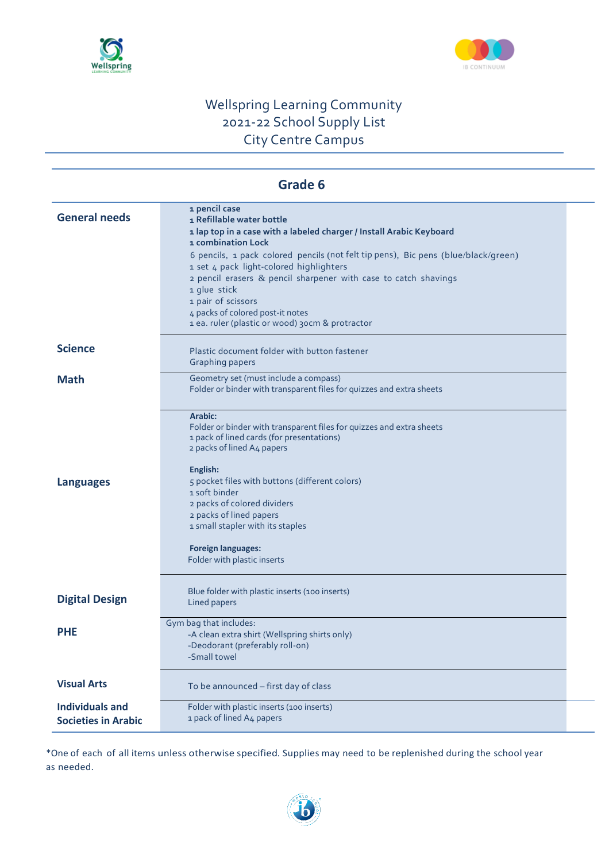



| Grade 6                                              |                                                                                                                                                                                                                                                                                                                                                                                                                                                                           |  |  |  |
|------------------------------------------------------|---------------------------------------------------------------------------------------------------------------------------------------------------------------------------------------------------------------------------------------------------------------------------------------------------------------------------------------------------------------------------------------------------------------------------------------------------------------------------|--|--|--|
| <b>General needs</b>                                 | 1 pencil case<br>1 Refillable water bottle<br>1 lap top in a case with a labeled charger / Install Arabic Keyboard<br>1 combination Lock<br>6 pencils, 1 pack colored pencils (not felt tip pens), Bic pens (blue/black/green)<br>1 set 4 pack light-colored highlighters<br>2 pencil erasers & pencil sharpener with case to catch shavings<br>1 glue stick<br>1 pair of scissors<br>4 packs of colored post-it notes<br>1 ea. ruler (plastic or wood) 30cm & protractor |  |  |  |
| <b>Science</b>                                       | Plastic document folder with button fastener<br><b>Graphing papers</b>                                                                                                                                                                                                                                                                                                                                                                                                    |  |  |  |
| <b>Math</b>                                          | Geometry set (must include a compass)<br>Folder or binder with transparent files for quizzes and extra sheets                                                                                                                                                                                                                                                                                                                                                             |  |  |  |
| <b>Languages</b>                                     | Arabic:<br>Folder or binder with transparent files for quizzes and extra sheets<br>1 pack of lined cards (for presentations)<br>2 packs of lined A4 papers<br>English:<br>5 pocket files with buttons (different colors)<br>1 soft binder<br>2 packs of colored dividers<br>2 packs of lined papers<br>1 small stapler with its staples<br><b>Foreign languages:</b><br>Folder with plastic inserts                                                                       |  |  |  |
| <b>Digital Design</b>                                | Blue folder with plastic inserts (100 inserts)<br>Lined papers                                                                                                                                                                                                                                                                                                                                                                                                            |  |  |  |
| <b>PHE</b>                                           | Gym bag that includes:<br>-A clean extra shirt (Wellspring shirts only)<br>-Deodorant (preferably roll-on)<br>-Small towel                                                                                                                                                                                                                                                                                                                                                |  |  |  |
| <b>Visual Arts</b>                                   | To be announced - first day of class                                                                                                                                                                                                                                                                                                                                                                                                                                      |  |  |  |
| <b>Individuals and</b><br><b>Societies in Arabic</b> | Folder with plastic inserts (100 inserts)<br>1 pack of lined A4 papers                                                                                                                                                                                                                                                                                                                                                                                                    |  |  |  |

\*One of each of all items unless otherwise specified. Supplies may need to be replenished during the school year as needed.

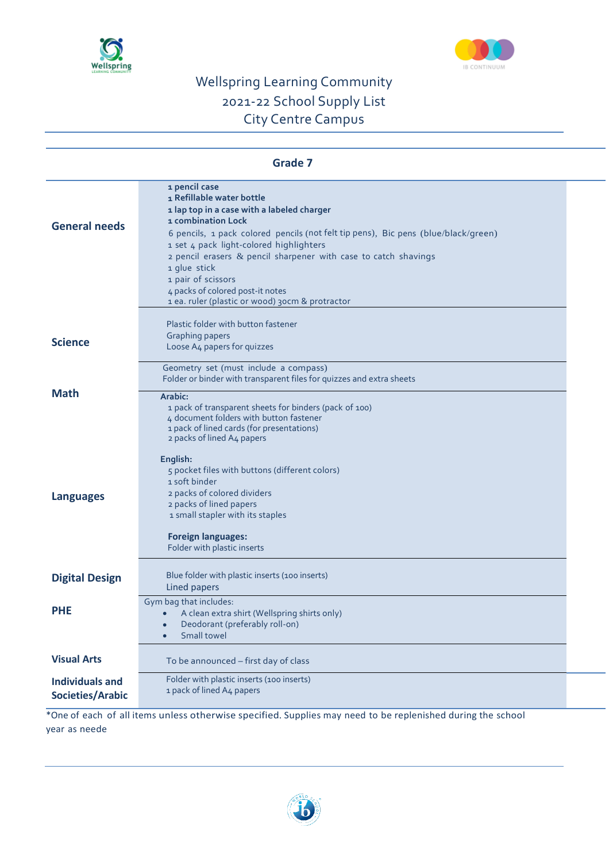



| <b>Grade 7</b>                                    |                                                                                                                                                                                                                                                                                                                                                                                                                                                                                                                                                   |  |
|---------------------------------------------------|---------------------------------------------------------------------------------------------------------------------------------------------------------------------------------------------------------------------------------------------------------------------------------------------------------------------------------------------------------------------------------------------------------------------------------------------------------------------------------------------------------------------------------------------------|--|
| <b>General needs</b>                              | 1 pencil case<br>1 Refillable water bottle<br>1 lap top in a case with a labeled charger<br>1 combination Lock<br>6 pencils, 1 pack colored pencils (not felt tip pens), Bic pens (blue/black/green)<br>1 set 4 pack light-colored highlighters<br>2 pencil erasers & pencil sharpener with case to catch shavings<br>1 glue stick<br>1 pair of scissors<br>4 packs of colored post-it notes<br>1 ea. ruler (plastic or wood) 30cm & protractor                                                                                                   |  |
| <b>Science</b>                                    | Plastic folder with button fastener<br><b>Graphing papers</b><br>Loose A4 papers for quizzes                                                                                                                                                                                                                                                                                                                                                                                                                                                      |  |
| <b>Math</b><br><b>Languages</b>                   | Geometry set (must include a compass)<br>Folder or binder with transparent files for quizzes and extra sheets<br>Arabic:<br>1 pack of transparent sheets for binders (pack of 100)<br>4 document folders with button fastener<br>1 pack of lined cards (for presentations)<br>2 packs of lined A4 papers<br>English:<br>5 pocket files with buttons (different colors)<br>1 soft binder<br>2 packs of colored dividers<br>2 packs of lined papers<br>1 small stapler with its staples<br><b>Foreign languages:</b><br>Folder with plastic inserts |  |
| <b>Digital Design</b>                             | Blue folder with plastic inserts (100 inserts)<br>Lined papers                                                                                                                                                                                                                                                                                                                                                                                                                                                                                    |  |
| <b>PHE</b>                                        | Gym bag that includes:<br>A clean extra shirt (Wellspring shirts only)<br>Deodorant (preferably roll-on)<br>Small towel                                                                                                                                                                                                                                                                                                                                                                                                                           |  |
| <b>Visual Arts</b>                                | To be announced - first day of class                                                                                                                                                                                                                                                                                                                                                                                                                                                                                                              |  |
| <b>Individuals and</b><br><b>Societies/Arabic</b> | Folder with plastic inserts (100 inserts)<br>1 pack of lined A4 papers                                                                                                                                                                                                                                                                                                                                                                                                                                                                            |  |

\*One of each of all items unless otherwise specified. Supplies may need to be replenished during the school year as neede

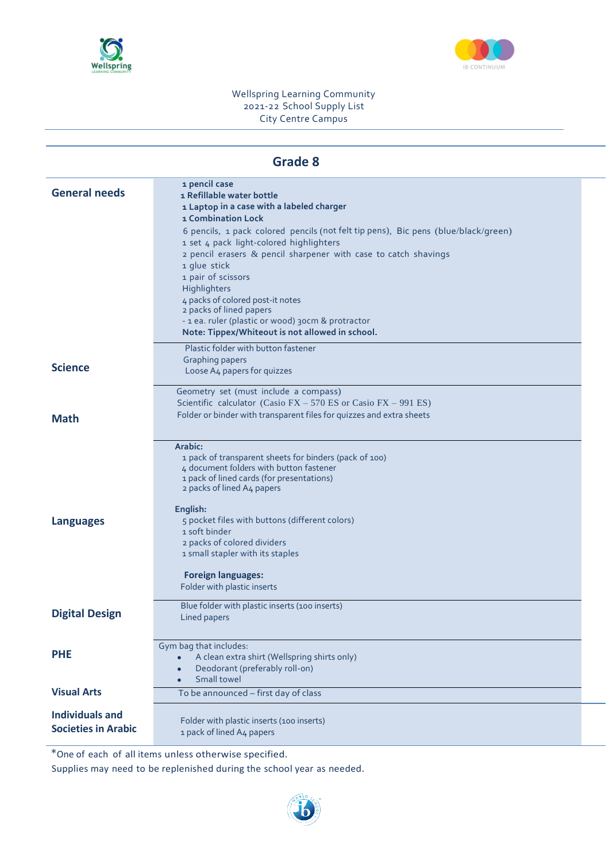



| <b>General needs</b>                                 | 1 pencil case<br>1 Refillable water bottle<br>1 Laptop in a case with a labeled charger<br>1 Combination Lock<br>6 pencils, 1 pack colored pencils (not felt tip pens), Bic pens (blue/black/green)<br>1 set 4 pack light-colored highlighters<br>$2$ pencil erasers $\&$ pencil sharpener with case to catch shavings<br>1 glue stick<br>1 pair of scissors<br>Highlighters<br>4 packs of colored post-it notes<br>2 packs of lined papers<br>- 1 ea. ruler (plastic or wood) 30cm & protractor<br>Note: Tippex/Whiteout is not allowed in school. |
|------------------------------------------------------|-----------------------------------------------------------------------------------------------------------------------------------------------------------------------------------------------------------------------------------------------------------------------------------------------------------------------------------------------------------------------------------------------------------------------------------------------------------------------------------------------------------------------------------------------------|
| <b>Science</b>                                       | Plastic folder with button fastener<br><b>Graphing papers</b><br>Loose A4 papers for quizzes                                                                                                                                                                                                                                                                                                                                                                                                                                                        |
| <b>Math</b>                                          | Geometry set (must include a compass)<br>Scientific calculator (Casio FX $-$ 570 ES or Casio FX $-$ 991 ES)<br>Folder or binder with transparent files for quizzes and extra sheets                                                                                                                                                                                                                                                                                                                                                                 |
| <b>Languages</b>                                     | Arabic:<br>1 pack of transparent sheets for binders (pack of 100)<br>4 document folders with button fastener<br>1 pack of lined cards (for presentations)<br>2 packs of lined A4 papers<br>English:<br>5 pocket files with buttons (different colors)<br>1 soft binder<br>2 packs of colored dividers<br>1 small stapler with its staples<br><b>Foreign languages:</b><br>Folder with plastic inserts                                                                                                                                               |
| <b>Digital Design</b>                                | Blue folder with plastic inserts (100 inserts)<br>Lined papers                                                                                                                                                                                                                                                                                                                                                                                                                                                                                      |
| <b>PHE</b>                                           | Gym bag that includes:<br>A clean extra shirt (Wellspring shirts only)<br>Deodorant (preferably roll-on)<br>Small towel<br>$\bullet$                                                                                                                                                                                                                                                                                                                                                                                                                |
| <b>Visual Arts</b>                                   | To be announced - first day of class                                                                                                                                                                                                                                                                                                                                                                                                                                                                                                                |
| <b>Individuals and</b><br><b>Societies in Arabic</b> | Folder with plastic inserts (100 inserts)<br>1 pack of lined A4 papers                                                                                                                                                                                                                                                                                                                                                                                                                                                                              |

\*One of each of all items unless otherwise specified.

Supplies may need to be replenished during the school year as needed.

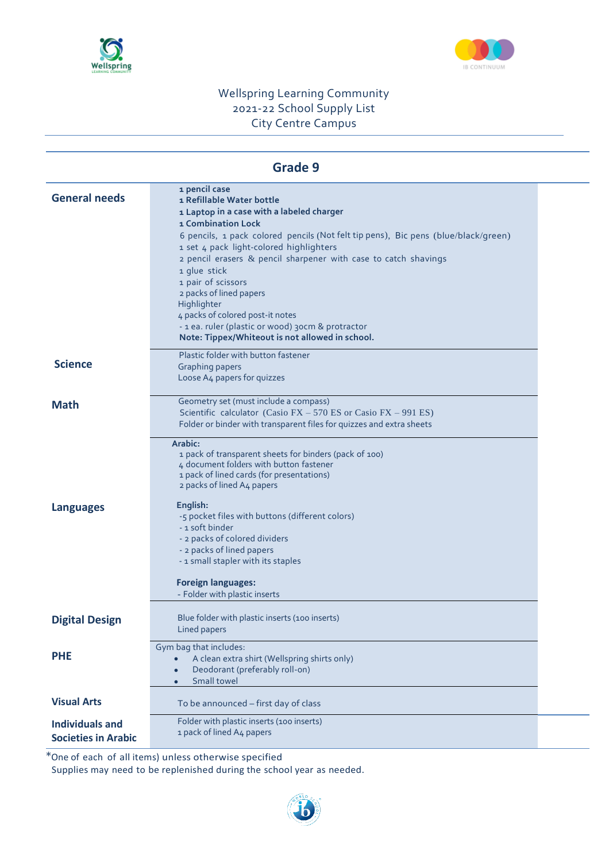



### **Grade 9**

| <b>General needs</b>                                 | 1 pencil case<br>1 Refillable Water bottle<br>1 Laptop in a case with a labeled charger<br>1 Combination Lock<br>6 pencils, 1 pack colored pencils (Not felt tip pens), Bic pens (blue/black/green)<br>1 set 4 pack light-colored highlighters<br>2 pencil erasers & pencil sharpener with case to catch shavings<br>1 glue stick<br>1 pair of scissors<br>2 packs of lined papers<br>Highlighter<br>4 packs of colored post-it notes |  |
|------------------------------------------------------|---------------------------------------------------------------------------------------------------------------------------------------------------------------------------------------------------------------------------------------------------------------------------------------------------------------------------------------------------------------------------------------------------------------------------------------|--|
|                                                      | - 1 ea. ruler (plastic or wood) 30cm & protractor<br>Note: Tippex/Whiteout is not allowed in school.                                                                                                                                                                                                                                                                                                                                  |  |
| <b>Science</b>                                       | Plastic folder with button fastener<br>Graphing papers<br>Loose A4 papers for quizzes                                                                                                                                                                                                                                                                                                                                                 |  |
| <b>Math</b>                                          | Geometry set (must include a compass)<br>Scientific calculator (Casio FX - 570 ES or Casio FX - 991 ES)<br>Folder or binder with transparent files for quizzes and extra sheets                                                                                                                                                                                                                                                       |  |
|                                                      | Arabic:<br>1 pack of transparent sheets for binders (pack of 100)<br>4 document folders with button fastener<br>1 pack of lined cards (for presentations)<br>2 packs of lined A4 papers                                                                                                                                                                                                                                               |  |
| <b>Languages</b>                                     | English:<br>-5 pocket files with buttons (different colors)<br>- 1 soft binder<br>- 2 packs of colored dividers<br>- 2 packs of lined papers<br>- 1 small stapler with its staples                                                                                                                                                                                                                                                    |  |
|                                                      | <b>Foreign languages:</b><br>- Folder with plastic inserts                                                                                                                                                                                                                                                                                                                                                                            |  |
| <b>Digital Design</b>                                | Blue folder with plastic inserts (100 inserts)<br>Lined papers                                                                                                                                                                                                                                                                                                                                                                        |  |
| <b>PHE</b>                                           | Gym bag that includes:<br>A clean extra shirt (Wellspring shirts only)<br>Deodorant (preferably roll-on)<br>Small towel<br>$\bullet$                                                                                                                                                                                                                                                                                                  |  |
| <b>Visual Arts</b>                                   | To be announced - first day of class                                                                                                                                                                                                                                                                                                                                                                                                  |  |
| <b>Individuals and</b><br><b>Societies in Arabic</b> | Folder with plastic inserts (100 inserts)<br>1 pack of lined A4 papers                                                                                                                                                                                                                                                                                                                                                                |  |

\*One of each of all items) unless otherwise specified

Supplies may need to be replenished during the school year as needed.

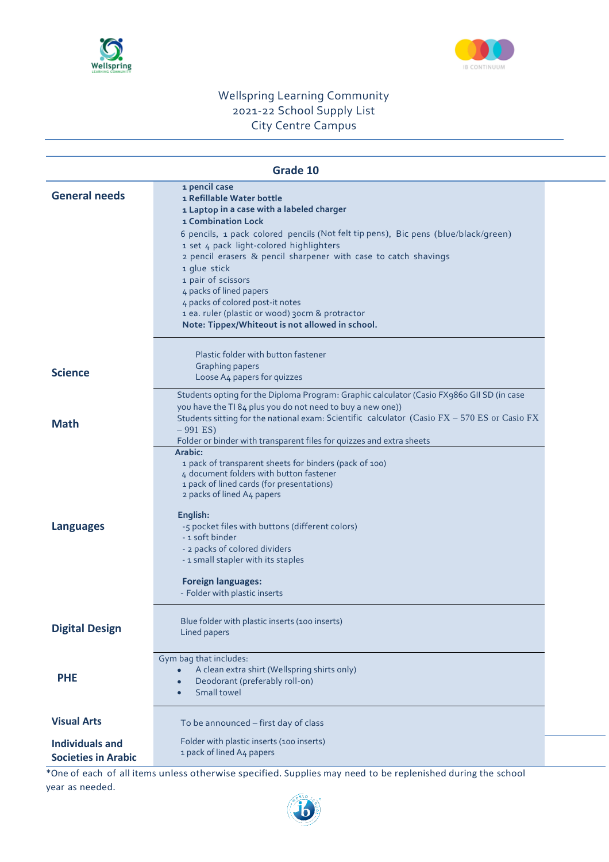



| Grade 10                                             |                                                                                                                                                                                                                                                                                                                                                                                                                                                                                                                                     |  |
|------------------------------------------------------|-------------------------------------------------------------------------------------------------------------------------------------------------------------------------------------------------------------------------------------------------------------------------------------------------------------------------------------------------------------------------------------------------------------------------------------------------------------------------------------------------------------------------------------|--|
| <b>General needs</b>                                 | 1 pencil case<br>1 Refillable Water bottle<br>1 Laptop in a case with a labeled charger<br><b>1 Combination Lock</b><br>6 pencils, 1 pack colored pencils (Not felt tip pens), Bic pens (blue/black/green)<br>1 set 4 pack light-colored highlighters<br>2 pencil erasers & pencil sharpener with case to catch shavings<br>1 glue stick<br>1 pair of scissors<br>4 packs of lined papers<br>4 packs of colored post-it notes<br>1 ea. ruler (plastic or wood) 30cm & protractor<br>Note: Tippex/Whiteout is not allowed in school. |  |
| <b>Science</b>                                       | Plastic folder with button fastener<br><b>Graphing papers</b><br>Loose A4 papers for quizzes                                                                                                                                                                                                                                                                                                                                                                                                                                        |  |
| <b>Math</b>                                          | Students opting for the Diploma Program: Graphic calculator (Casio FX986o GII SD (in case<br>you have the TI 84 plus you do not need to buy a new one))<br>Students sitting for the national exam: Scientific calculator (Casio FX - 570 ES or Casio FX<br>$-991$ ES)<br>Folder or binder with transparent files for quizzes and extra sheets<br>Arabic:                                                                                                                                                                            |  |
| <b>Languages</b>                                     | 1 pack of transparent sheets for binders (pack of 100)<br>4 document folders with button fastener<br>1 pack of lined cards (for presentations)<br>2 packs of lined A4 papers<br>English:<br>-5 pocket files with buttons (different colors)<br>- 1 soft binder<br>- 2 packs of colored dividers<br>- 1 small stapler with its staples<br><b>Foreign languages:</b><br>- Folder with plastic inserts                                                                                                                                 |  |
| <b>Digital Design</b>                                | Blue folder with plastic inserts (100 inserts)<br>Lined papers                                                                                                                                                                                                                                                                                                                                                                                                                                                                      |  |
| <b>PHE</b>                                           | Gym bag that includes:<br>A clean extra shirt (Wellspring shirts only)<br>Deodorant (preferably roll-on)<br>Small towel                                                                                                                                                                                                                                                                                                                                                                                                             |  |
| <b>Visual Arts</b>                                   | To be announced - first day of class                                                                                                                                                                                                                                                                                                                                                                                                                                                                                                |  |
| <b>Individuals and</b><br><b>Societies in Arabic</b> | Folder with plastic inserts (100 inserts)<br>1 pack of lined A4 papers                                                                                                                                                                                                                                                                                                                                                                                                                                                              |  |

\*One of each of all items unless otherwise specified. Supplies may need to be replenished during the school year as needed.